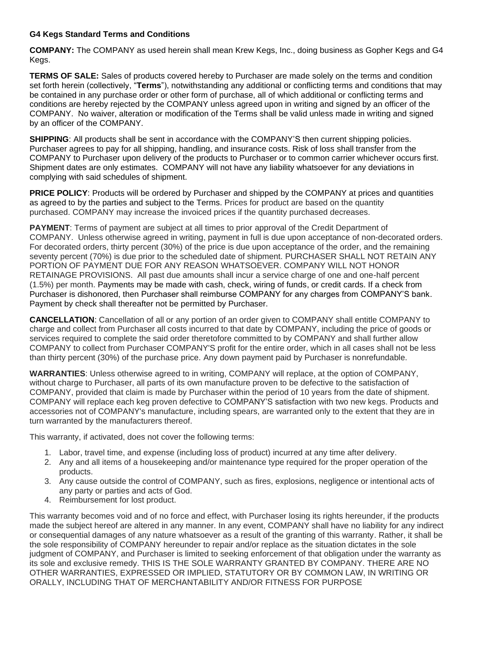## **G4 Kegs Standard Terms and Conditions**

**COMPANY:** The COMPANY as used herein shall mean Krew Kegs, Inc., doing business as Gopher Kegs and G4 Kegs.

**TERMS OF SALE:** Sales of products covered hereby to Purchaser are made solely on the terms and condition set forth herein (collectively, "**Terms**"), notwithstanding any additional or conflicting terms and conditions that may be contained in any purchase order or other form of purchase, all of which additional or conflicting terms and conditions are hereby rejected by the COMPANY unless agreed upon in writing and signed by an officer of the COMPANY. No waiver, alteration or modification of the Terms shall be valid unless made in writing and signed by an officer of the COMPANY.

**SHIPPING:** All products shall be sent in accordance with the COMPANY'S then current shipping policies. Purchaser agrees to pay for all shipping, handling, and insurance costs. Risk of loss shall transfer from the COMPANY to Purchaser upon delivery of the products to Purchaser or to common carrier whichever occurs first. Shipment dates are only estimates. COMPANY will not have any liability whatsoever for any deviations in complying with said schedules of shipment.

**PRICE POLICY**: Products will be ordered by Purchaser and shipped by the COMPANY at prices and quantities as agreed to by the parties and subject to the Terms. Prices for product are based on the quantity purchased. COMPANY may increase the invoiced prices if the quantity purchased decreases.

**PAYMENT**: Terms of payment are subject at all times to prior approval of the Credit Department of COMPANY. Unless otherwise agreed in writing, payment in full is due upon acceptance of non-decorated orders. For decorated orders, thirty percent (30%) of the price is due upon acceptance of the order, and the remaining seventy percent (70%) is due prior to the scheduled date of shipment. PURCHASER SHALL NOT RETAIN ANY PORTION OF PAYMENT DUE FOR ANY REASON WHATSOEVER. COMPANY WILL NOT HONOR RETAINAGE PROVISIONS. All past due amounts shall incur a service charge of one and one-half percent (1.5%) per month. Payments may be made with cash, check, wiring of funds, or credit cards. If a check from Purchaser is dishonored, then Purchaser shall reimburse COMPANY for any charges from COMPANY'S bank. Payment by check shall thereafter not be permitted by Purchaser.

**CANCELLATION**: Cancellation of all or any portion of an order given to COMPANY shall entitle COMPANY to charge and collect from Purchaser all costs incurred to that date by COMPANY, including the price of goods or services required to complete the said order theretofore committed to by COMPANY and shall further allow COMPANY to collect from Purchaser COMPANY'S profit for the entire order, which in all cases shall not be less than thirty percent (30%) of the purchase price. Any down payment paid by Purchaser is nonrefundable.

**WARRANTIES**: Unless otherwise agreed to in writing, COMPANY will replace, at the option of COMPANY, without charge to Purchaser, all parts of its own manufacture proven to be defective to the satisfaction of COMPANY, provided that claim is made by Purchaser within the period of 10 years from the date of shipment. COMPANY will replace each keg proven defective to COMPANY'S satisfaction with two new kegs. Products and accessories not of COMPANY's manufacture, including spears, are warranted only to the extent that they are in turn warranted by the manufacturers thereof.

This warranty, if activated, does not cover the following terms:

- 1. Labor, travel time, and expense (including loss of product) incurred at any time after delivery.
- 2. Any and all items of a housekeeping and/or maintenance type required for the proper operation of the products.
- 3. Any cause outside the control of COMPANY, such as fires, explosions, negligence or intentional acts of any party or parties and acts of God.
- 4. Reimbursement for lost product.

This warranty becomes void and of no force and effect, with Purchaser losing its rights hereunder, if the products made the subject hereof are altered in any manner. In any event, COMPANY shall have no liability for any indirect or consequential damages of any nature whatsoever as a result of the granting of this warranty. Rather, it shall be the sole responsibility of COMPANY hereunder to repair and/or replace as the situation dictates in the sole judgment of COMPANY, and Purchaser is limited to seeking enforcement of that obligation under the warranty as its sole and exclusive remedy. THIS IS THE SOLE WARRANTY GRANTED BY COMPANY. THERE ARE NO OTHER WARRANTIES, EXPRESSED OR IMPLIED, STATUTORY OR BY COMMON LAW, IN WRITING OR ORALLY, INCLUDING THAT OF MERCHANTABILITY AND/OR FITNESS FOR PURPOSE